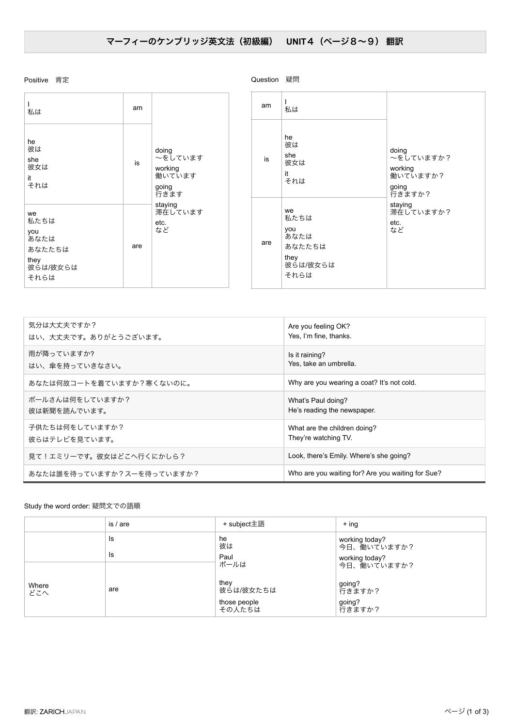## Positive 肯定

Question 疑問

| 私は                                                              | am  | doing<br>~をしています<br>working<br>働いています<br>going<br>行きます<br>staying<br>滞在しています<br>etc.<br>など |  | am  | 私は                                                              |                                                              |
|-----------------------------------------------------------------|-----|--------------------------------------------------------------------------------------------|--|-----|-----------------------------------------------------------------|--------------------------------------------------------------|
| he<br>彼は<br>she<br>彼女は<br>it<br>それは                             | is  |                                                                                            |  | is  | he<br>彼は<br>she<br>彼女は<br>it<br>それは                             | doing<br>~をしていますか?<br>working<br>働いていますか?<br>going<br>行きますか? |
| we<br>私たちは<br>you<br>あなたは<br>あなたたちは<br>they<br>彼らは/彼女らは<br>それらは | are |                                                                                            |  | are | we<br>私たちは<br>you<br>あなたは<br>あなたたちは<br>they<br>彼らは/彼女らは<br>それらは | staying<br>滞在していますか?<br>etc.<br>など                           |

| 気分は大丈夫ですか?                | Are you feeling OK?                               |
|---------------------------|---------------------------------------------------|
| はい、大丈夫です。ありがとうございます。      | Yes, I'm fine, thanks.                            |
| 雨が降っていますか?                | Is it raining?                                    |
| はい、傘を持っていきなさい。            | Yes, take an umbrella.                            |
| あなたは何故コートを着ていますか?寒くないのに。  | Why are you wearing a coat? It's not cold.        |
| ポールさんは何をしていますか?           | What's Paul doing?                                |
| 彼は新聞を読んでいます。              | He's reading the newspaper.                       |
| 子供たちは何をしていますか?            | What are the children doing?                      |
| 彼らはテレビを見ています。             | They're watching TV.                              |
| 見て!エミリーです。彼女はどこへ行くにかしら?   | Look, there's Emily. Where's she going?           |
| あなたは誰を待っていますか?スーを待っていますか? | Who are you waiting for? Are you waiting for Sue? |

Study the word order: 疑問文での語順

|              | is / are | + subject主語                                         | $+$ ing                                                        |  |  |
|--------------|----------|-----------------------------------------------------|----------------------------------------------------------------|--|--|
|              | Is<br>Is | he<br>彼は<br>Paul                                    | working today?<br>今日、働いていますか?<br>working today?<br>今日、働いていますか? |  |  |
| Where<br>どこへ | are      | ポールは<br>they<br>彼らは/彼女たちは<br>those people<br>その人たちは | going?<br>行きますか?<br>going?<br>行きますか?                           |  |  |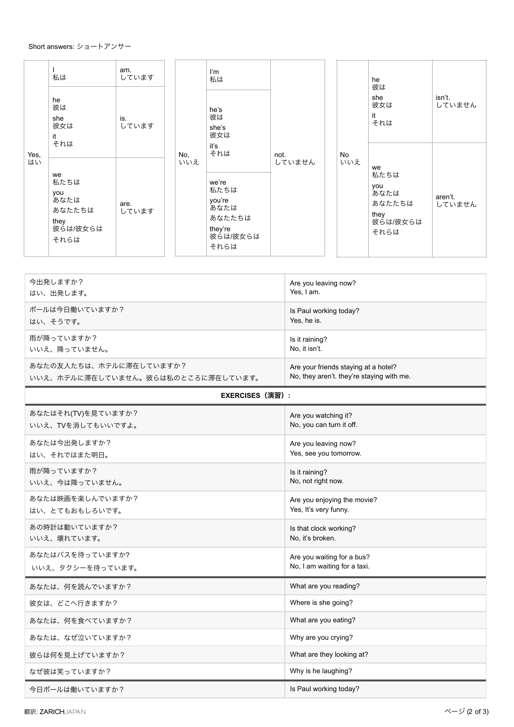## Short answers: ショートアンサー

|            | 私は<br>he<br>彼は<br>she<br>彼女は<br>it<br>それは                       | am.<br>しています<br>is.<br>しています |            | I'm<br>私は<br>he's<br>彼は<br>she's<br>彼女は                                                | not.<br>していません |           | he<br>彼は<br>she<br>彼女は<br>it<br>それは                             | isn't.<br>していません  |
|------------|-----------------------------------------------------------------|------------------------------|------------|----------------------------------------------------------------------------------------|----------------|-----------|-----------------------------------------------------------------|-------------------|
| Yes,<br>はい | we<br>私たちは<br>you<br>あなたは<br>あなたたちは<br>they<br>彼らは/彼女らは<br>それらは | are.<br>しています                | No,<br>いいえ | iťs<br>それは<br>we're<br>私たちは<br>you're<br>あなたは<br>あなたたちは<br>they're<br>彼らは/彼女らは<br>それらは |                | No<br>いいえ | we<br>私たちは<br>you<br>あなたは<br>あなたたちは<br>they<br>彼らは/彼女らは<br>それらは | aren't.<br>していません |

| 今出発しますか?                           | Are you leaving now?                      |
|------------------------------------|-------------------------------------------|
| はい、出発します。                          | Yes, I am.                                |
| ポールは今日働いていますか?                     | Is Paul working today?                    |
| はい、そうです。                           | Yes, he is.                               |
| 雨が降っていますか?                         | Is it raining?                            |
| いいえ、降っていません。                       | No, it isn't.                             |
| あなたの友人たちは、ホテルに滞在していますか?            | Are your friends staying at a hotel?      |
| いいえ、ホテルに滞在していません。彼らは私のところに滞在しています。 | No, they aren't. they're staying with me. |
| <b>EXERCISES (演習):</b>             |                                           |
| あなたはそれ(TV)を見ていますか?                 | Are you watching it?                      |
| いいえ、TVを消してもいいですよ。                  | No, you can turn it off.                  |
| あなたは今出発しますか?                       | Are you leaving now?                      |
| はい、それではまた明日。                       | Yes, see you tomorrow.                    |
| 雨が降っていますか?                         | Is it raining?                            |
| いいえ、今は降っていません。                     | No, not right now.                        |
| あなたは映画を楽しんでいますか?                   | Are you enjoying the movie?               |
| はい、とてもおもしろいです。                     | Yes, It's very funny.                     |
| あの時計は動いていますか?                      | Is that clock working?                    |
| いいえ、壊れています。                        | No, it's broken.                          |
| あなたはバスを待っていますか?                    | Are you waiting for a bus?                |
| いいえ、タクシーを待っています。                   | No, I am waiting for a taxi.              |
| あなたは、何を読んでいますか?                    | What are you reading?                     |
| 彼女は、どこへ行きますか?                      | Where is she going?                       |
| あなたは、何を食べていますか?                    | What are you eating?                      |
| あなたは、なぜ泣いていますか?                    | Why are you crying?                       |
| 彼らは何を見上げていますか?                     | What are they looking at?                 |
| なぜ彼は笑っていますか?                       | Why is he laughing?                       |

今日ポールは働いていますか? いっちゃん いっちゃん いっちゃん いっちゃん Is Paul working today?